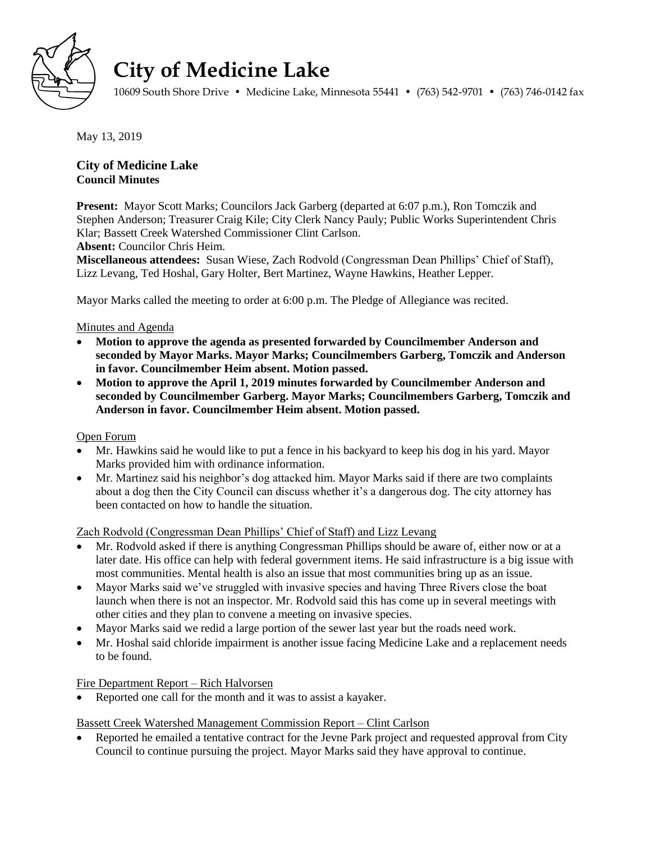

# **City of Medicine Lake**

10609 South Shore Drive • Medicine Lake, Minnesota 55441 • (763) 542-9701 • (763) 746-0142 fax

May 13, 2019

# **City of Medicine Lake Council Minutes**

**Present:** Mayor Scott Marks; Councilors Jack Garberg (departed at 6:07 p.m.), Ron Tomczik and Stephen Anderson; Treasurer Craig Kile; City Clerk Nancy Pauly; Public Works Superintendent Chris Klar; Bassett Creek Watershed Commissioner Clint Carlson.

**Absent:** Councilor Chris Heim.

**Miscellaneous attendees:** Susan Wiese, Zach Rodvold (Congressman Dean Phillips' Chief of Staff), Lizz Levang, Ted Hoshal, Gary Holter, Bert Martinez, Wayne Hawkins, Heather Lepper.

Mayor Marks called the meeting to order at 6:00 p.m. The Pledge of Allegiance was recited.

## Minutes and Agenda

- **Motion to approve the agenda as presented forwarded by Councilmember Anderson and seconded by Mayor Marks. Mayor Marks; Councilmembers Garberg, Tomczik and Anderson in favor. Councilmember Heim absent. Motion passed.**
- **Motion to approve the April 1, 2019 minutes forwarded by Councilmember Anderson and seconded by Councilmember Garberg. Mayor Marks; Councilmembers Garberg, Tomczik and Anderson in favor. Councilmember Heim absent. Motion passed.**

## Open Forum

- Mr. Hawkins said he would like to put a fence in his backyard to keep his dog in his yard. Mayor Marks provided him with ordinance information.
- Mr. Martinez said his neighbor's dog attacked him. Mayor Marks said if there are two complaints about a dog then the City Council can discuss whether it's a dangerous dog. The city attorney has been contacted on how to handle the situation.

Zach Rodvold (Congressman Dean Phillips' Chief of Staff) and Lizz Levang

- Mr. Rodvold asked if there is anything Congressman Phillips should be aware of, either now or at a later date. His office can help with federal government items. He said infrastructure is a big issue with most communities. Mental health is also an issue that most communities bring up as an issue.
- Mayor Marks said we've struggled with invasive species and having Three Rivers close the boat launch when there is not an inspector. Mr. Rodvold said this has come up in several meetings with other cities and they plan to convene a meeting on invasive species.
- Mayor Marks said we redid a large portion of the sewer last year but the roads need work.
- Mr. Hoshal said chloride impairment is another issue facing Medicine Lake and a replacement needs to be found.

# Fire Department Report – Rich Halvorsen

Reported one call for the month and it was to assist a kayaker.

## Bassett Creek Watershed Management Commission Report – Clint Carlson

 Reported he emailed a tentative contract for the Jevne Park project and requested approval from City Council to continue pursuing the project. Mayor Marks said they have approval to continue.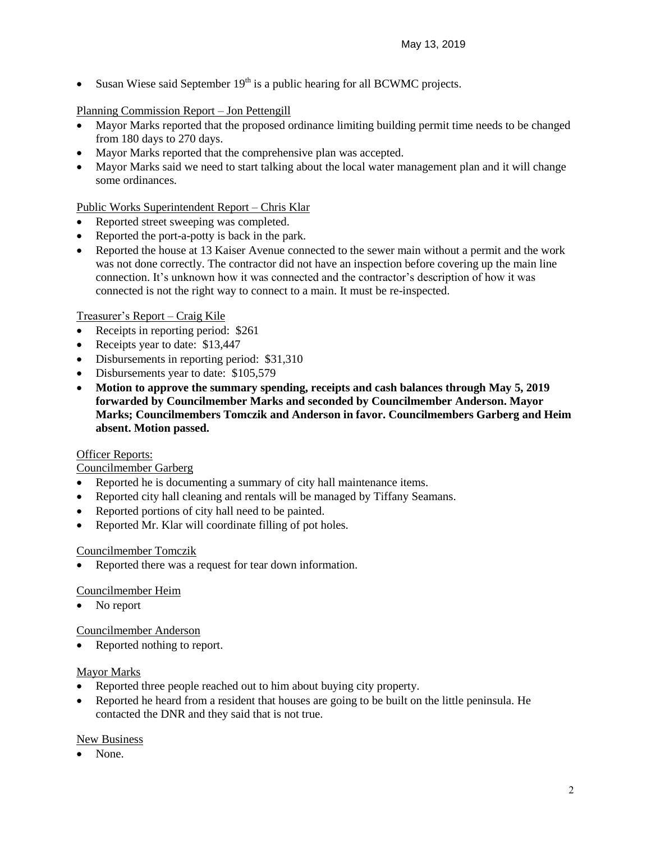Susan Wiese said September  $19<sup>th</sup>$  is a public hearing for all BCWMC projects.

# Planning Commission Report – Jon Pettengill

- Mayor Marks reported that the proposed ordinance limiting building permit time needs to be changed from 180 days to 270 days.
- Mayor Marks reported that the comprehensive plan was accepted.
- Mayor Marks said we need to start talking about the local water management plan and it will change some ordinances.

## Public Works Superintendent Report – Chris Klar

- Reported street sweeping was completed.
- Reported the port-a-potty is back in the park.
- Reported the house at 13 Kaiser Avenue connected to the sewer main without a permit and the work was not done correctly. The contractor did not have an inspection before covering up the main line connection. It's unknown how it was connected and the contractor's description of how it was connected is not the right way to connect to a main. It must be re-inspected.

## Treasurer's Report – Craig Kile

- Receipts in reporting period: \$261
- Receipts year to date: \$13,447
- Disbursements in reporting period: \$31,310
- Disbursements year to date: \$105,579
- **Motion to approve the summary spending, receipts and cash balances through May 5, 2019 forwarded by Councilmember Marks and seconded by Councilmember Anderson. Mayor Marks; Councilmembers Tomczik and Anderson in favor. Councilmembers Garberg and Heim absent. Motion passed.**

## **Officer Reports:**

## Councilmember Garberg

- Reported he is documenting a summary of city hall maintenance items.
- Reported city hall cleaning and rentals will be managed by Tiffany Seamans.
- Reported portions of city hall need to be painted.
- Reported Mr. Klar will coordinate filling of pot holes.

## Councilmember Tomczik

Reported there was a request for tear down information.

## Councilmember Heim

• No report

## Councilmember Anderson

• Reported nothing to report.

## Mayor Marks

- Reported three people reached out to him about buying city property.
- Reported he heard from a resident that houses are going to be built on the little peninsula. He contacted the DNR and they said that is not true.

## New Business

None.